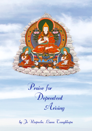

Praise for

Dependent

Arising

by Je Rinpoche, Lama Tsongkhapa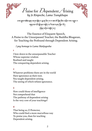

।८ॺॱक़ॗॺॱॸऄॕॺॱॶॺॱय़ॸॣॺॱॺॕॢॺॱय़ॱॺॣॱॺ॓ॸॣॱय़ॱॺॱॾॸॱऄॕॱॸॆॗॺॱऄॸॱय़ॎॖॷॺॱॸॸॱय़ॎॖॾॖॸॱॸ वायुद्रवा चविः अविषा चक्षेत् चार्येवाषा चनत् श्लेदाया हिब् प्रसेष पश्चे दाया]

The Essence of Eloquent Speech, A Praise to the Unsurpassed Teacher, the Buddha Bhagavan, for Teaching the Profound through Dependent Arising.

*I pay homage to Lama Mañjugosha*

## **1**

I bow down to the unsurpassable Teacher Whose supreme wisdom Realised and taught The conquering dependent arising.

### **2**

Whatever problems there are in the world Have ignorance as their root. You taught dependent arising, The seeing of which refutes ignorance.

#### **3**

How could those of intelligence Not comprehend that The pathway of dependent arising Is the very core of your teachings?

#### **4**

That being so, O Protector, Who could find a more marvellous way To praise you, than for teaching Dependent arising.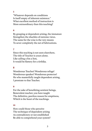"Whatever depends on conditions Is itself empty of inherent existence." What excellent method of instruction is More extraordinary than this teaching?

### **6**

By grasping at dependent arising, the immature Strengthen the shackles of extreme views. The same for the wise is the very means To sever completely the net of fabrications.

#### **7**

Since this teaching is not seen elsewhere, The title of Teacher is yours alone. Like calling a fox a lion, It would be flattery for a tirthika.

### **8**

Wonderous Teacher! Wonderous refuge! Wonderous speaker! Wonderous protector! He who masterfully taught dependent arising, I prostrate to that Teacher.

#### **9**

For the sake of benefitting sentient beings, Benevolent teacher, you have taught The definitive, peerless reason for emptiness, Which is the heart of the teachings.

#### **10**

How could those who perceive The technique of dependent arising As contradictory or not established Be able to comprehend your system?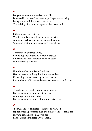For you, when emptiness is eventually Perceived in terms of the meaning of dependent arising, Being empty of inherent existence and The validity of action and agent will not contradict.

#### **12**

If the opposite to that is seen – What is empty is unable to perform an action And what performs an action cannot be empty – You assert that one falls into a terrifying abyss.

## **13**

Therefore, in your teaching, Seeing dependent arising is highly praised, Since it is neither completely non-existent Nor inherently existent.

#### **14**

Non-dependence is like a sky flower. Hence, there is nothing that is not dependent. If anything were existent by its own nature, It would contradict dependence on causes and conditions.

#### **15**

Therefore, you taught no phenomenon exists Except for what is dependently arisen; And no phenomenon exists Except for what is empty of inherent existence.

#### **16**

"Because inherent existence cannot be negated, If phenomena possessed even the slightest inherent nature Nirvana could not be achieved nor Fabrications eliminated", you taught.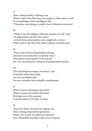Who could possibly challenge you When, with a lion-like roar, you taught so often and so well, To assemblages of the intelligent, that "Therefore, everything is totally free of inherent existence?

### **18**

"There is not the slightest inherent existence at all," and "In dependence on this, that arises." As both these presentations are completely correct, What need to say that they unite without contradiction?

#### **19**

"Due to the reason of dependent arising, One does not subscribe to extreme views." This perfect presentation is the reason For you, our protector, being an unsurpassable teacher.

#### **20**

That all things are empty of essence, and From this arises that result - Are two certainties that Do not contradict but mutually complement.

#### **21**

What is more wonderous than this? What is more marvellous than this? Praising you in this manner, Is praise indeed. All other is lesser.

#### **22**

There are those who fiercely oppose you Due to being enslaved by ignorance. Hence, the words "no inherent existence" Are unbearable and that comes as no surprise.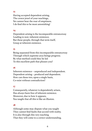Having accepted dependent arising, The crown jewel of your teachings, Yet cannot bear the roar of emptiness. I do find this to be most astonishing!

#### **24**

Dependent arising is the incomparable entranceway Leading to non–inherent existence; But these people, through that term itself, Grasp at inherent existence.

#### **25**

Being separated from this incomparable entranceway Through which supreme arya beings progress; By what method could they be led To this excellent path that pleases you?

#### **26**

Inherent existence – unproduced and independent. Dependent arising – produced and dependent. How can these two, upon a single basis, Co-exist without contradiction?

#### **27**

Consequently, whatever is dependently arisen, Has always been free of inherent existence. Moreover, due to how it appears, You taught that all this is like an illusion.

#### **28**

Although some may dispute what you taught They cannot find faults that accord with reality. It is also through this very teaching That they will come to a correct understanding.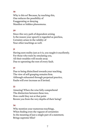Why is this so? Because, by teaching this, One reduces the possibility of Exaggerating or denying Manifest or hidden phenomena.

## **30**

Since this very path of dependent arising Is the reason your speech is regarded as peerless, Certainty arises in the validity of Your other teachings as well.

### **31**

Having seen reality just as it is, you taught it excellently. For those who train by emulating you, All their troubles will recede away Due to uprooting the root of every fault.

### **32**

Due to being disinclined towards your teaching, The view of self-grasping remains firm. Although exhausted through perpetual practice, Faults will ever increase as if invited.

### **33**

Amazing! When the wise fully comprehend The distinction between these two, How could they not at that point Revere you from the very depths of their being?

#### **34**

Why mention your numerous teachings, When finding even the vaguest of certainties In the meaning of just a single part of a statement, Brings supreme bliss?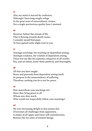Alas, my mind is marred by confusion. Although I have long sought refuge In the great store of extraordinary virtues, Not a single meritorious quality have I attained.

## **36**

However, before this stream of life, That is flowing towards death ceases, I consider myself fortunate To have gained some slight trust in you.

#### **37**

Amongst teachings, the teaching on dependent arising; Amongst wisdoms, the wisdom of dependent arising. These two are like the supreme conqueror of all worlds. You, and no others, know these perfectly and thoroughly.

#### **38**

All that you have taught Starts and proceeds from dependent arising itself; Its purpose is the transcendence of suffering. Therefore, nothing you do is not for peace.

#### **39**

How marvellous your teachings are! Since they bring peace to all Whose ears they reach, Who would not respectfully follow your teachings?

#### **40**

My ever-increasing delight in this system that Overcomes all challenges from opponents, Is empty of all upper and lower self-contradictions, Bestows the two aims of sentient beings.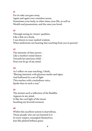For its sake you gave away, Again and again over countless aeons, Sometimes your body, at other times your life, as well as Wealth and possessions, and the ones you loved.

#### **42**

Through seeing its virtues' qualities, Like a fish on a hook, I was drawn to your exalted wisdom. What misfortune not hearing that teaching from you in person!

### **43**

The intensity of that sorrow – Like a mother's mind drawn Towards her precious child – Does not let go of my mind.

#### **44**

As I reflect on your teaching, I think, "Blazing intensely with glorious marks and signs, And hallowed in a net of light This teacher with a melodious voice, Spoke thus in such a way."

#### **45**

The instant such a reflection of the Buddha Appears in my mind, Is like the cool light of the moon Soothing my feverish torment.

#### **46**

Whilst this excellent system is marvellous, Those people who are not learned in it In every respect, entangled themselves, Just like plaited belbaza grass.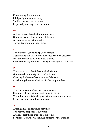Upon seeing this situation, I diligently and continuously Studied the works of scholars, Repeatedly seeking your true intent.

## **48**

At that time, as I studied numerous texts Of our own and other schools of thought, An ever-growing net of doubts Tormented my anguished mind.

#### **49**

The system of your unsurpassed vehicle, Abandoning the extremes of existence and non-existence, Was prophesied to be elucidated exactly By the moon-lily garden of Nagarjuna's scriptural tradition.

#### **50**

The waxing orb of stainless exalted wisdom Glides freely in the sky of sacred writings, Clearing the heart of extreme views' darkness, Outshining the constellations of false propounders.

#### **51**

The Glorious Moon's perfect explanations Illuminate through its garlands of white light. When I beheld this by the great kindness of my teachers, My weary mind found rest and ease.

#### **52**

Among all his enlightened activities, The activity of speech is supreme. And amongst those, this one is supreme. For this reason, the wise should remember the Buddha.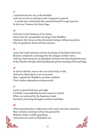I ordained into the way of the Buddha And was not lax in training in the Conqueror's speech; – A monk who enthusiastically exerted himself in yogic practice. In this way I honour the Great Sage.

## **54**

Only due to the kindness of my lamas, Have I met the unequalled teachings of the Buddha. I dedicate this virtue so that all sentient beings without exception, May be guided by kind and holy teachers.

### **55**

I pray that until samsara's end the teachings of the Benevolent One Remain completely unchanged by the energies of false views. And may there always be an abundance of those who have found firm trust In the Teacher through understanding the precise meaning of his teachings.

### **56**

In all my rebirths, even at the cost of my body or life, And never faltering for even an instant, May I uphold the Buddha's excellent tradition That clarifies dependent arising exactly.

### **57**

I pray to spend both day and night Carefully contemplating the best means to spread What was achieved by the Supreme Guide Earnestly practising through countless hardships.

### **58**

When pursuing these endeavours with a pure altruistic intention, May ceaseless assistance always be granted by Brahma, Indra, worldly guardians, And protectors such as Mahakala too.